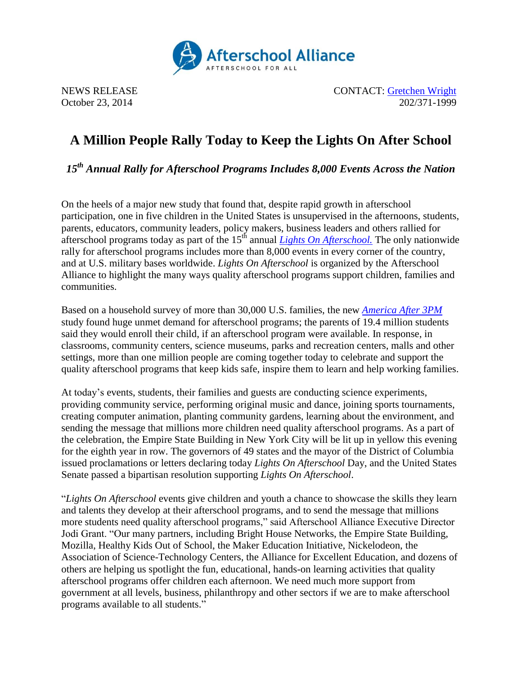

NEWS RELEASE CONTACT: [Gretchen Wright](mailto:gretchen@prsolutionsdc.com) October 23, 2014 202/371-1999

## **A Million People Rally Today to Keep the Lights On After School**

*15th Annual Rally for Afterschool Programs Includes 8,000 Events Across the Nation*

On the heels of a major new study that found that, despite rapid growth in afterschool participation, one in five children in the United States is unsupervised in the afternoons, students, parents, educators, community leaders, policy makers, business leaders and others rallied for afterschool programs today as part of the  $15<sup>th</sup>$  annual *Lights On Afterschool*. The only nationwide rally for afterschool programs includes more than 8,000 events in every corner of the country, and at U.S. military bases worldwide. *Lights On Afterschool* is organized by the Afterschool Alliance to highlight the many ways quality afterschool programs support children, families and communities.

Based on a household survey of more than 30,000 U.S. families, the new *[America After 3PM](http://www.afterschoolalliance.org/aa3pm)* study found huge unmet demand for afterschool programs; the parents of 19.4 million students said they would enroll their child, if an afterschool program were available. In response, in classrooms, community centers, science museums, parks and recreation centers, malls and other settings, more than one million people are coming together today to celebrate and support the quality afterschool programs that keep kids safe, inspire them to learn and help working families.

At today's events, students, their families and guests are conducting science experiments, providing community service, performing original music and dance, joining sports tournaments, creating computer animation, planting community gardens, learning about the environment, and sending the message that millions more children need quality afterschool programs. As a part of the celebration, the Empire State Building in New York City will be lit up in yellow this evening for the eighth year in row. The governors of 49 states and the mayor of the District of Columbia issued proclamations or letters declaring today *Lights On Afterschool* Day, and the United States Senate passed a bipartisan resolution supporting *Lights On Afterschool*.

"*Lights On Afterschool* events give children and youth a chance to showcase the skills they learn and talents they develop at their afterschool programs, and to send the message that millions more students need quality afterschool programs," said Afterschool Alliance Executive Director Jodi Grant. "Our many partners, including Bright House Networks, the Empire State Building, Mozilla, Healthy Kids Out of School, the Maker Education Initiative, Nickelodeon, the Association of Science-Technology Centers, the Alliance for Excellent Education, and dozens of others are helping us spotlight the fun, educational, hands-on learning activities that quality afterschool programs offer children each afternoon. We need much more support from government at all levels, business, philanthropy and other sectors if we are to make afterschool programs available to all students."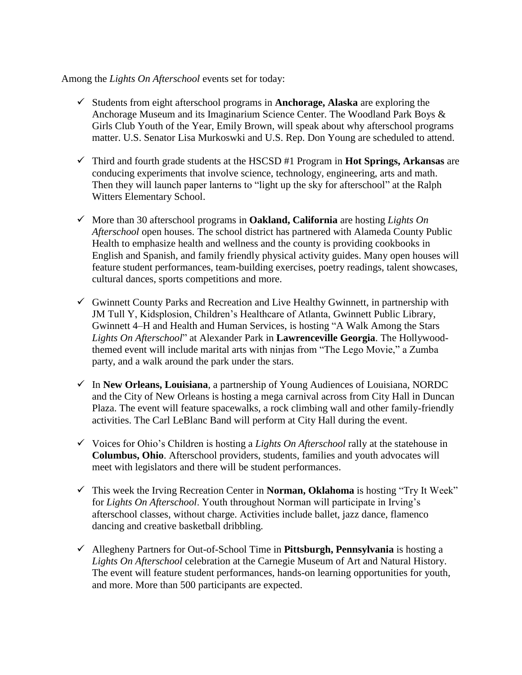## Among the *Lights On Afterschool* events set for today:

- $\checkmark$  Students from eight afterschool programs in **Anchorage, Alaska** are exploring the Anchorage Museum and its Imaginarium Science Center. The Woodland Park Boys & Girls Club Youth of the Year, Emily Brown, will speak about why afterschool programs matter. U.S. Senator Lisa Murkoswki and U.S. Rep. Don Young are scheduled to attend.
- Third and fourth grade students at the HSCSD #1 Program in **Hot Springs, Arkansas** are conducing experiments that involve science, technology, engineering, arts and math. Then they will launch paper lanterns to "light up the sky for afterschool" at the Ralph Witters Elementary School.
- More than 30 afterschool programs in **Oakland, California** are hosting *Lights On Afterschool* open houses. The school district has partnered with Alameda County Public Health to emphasize health and wellness and the county is providing cookbooks in English and Spanish, and family friendly physical activity guides. Many open houses will feature student performances, team-building exercises, poetry readings, talent showcases, cultural dances, sports competitions and more.
- $\checkmark$  Gwinnett County Parks and Recreation and Live Healthy Gwinnett, in partnership with JM Tull Y, Kidsplosion, Children's Healthcare of Atlanta, Gwinnett Public Library, Gwinnett 4–H and Health and Human Services, is hosting "A Walk Among the Stars *Lights On Afterschool*" at Alexander Park in **Lawrenceville Georgia**. The Hollywoodthemed event will include marital arts with ninjas from "The Lego Movie," a Zumba party, and a walk around the park under the stars.
- In **New Orleans, Louisiana**, a partnership of Young Audiences of Louisiana, NORDC and the City of New Orleans is hosting a mega carnival across from City Hall in Duncan Plaza. The event will feature spacewalks, a rock climbing wall and other family-friendly activities. The Carl LeBlanc Band will perform at City Hall during the event.
- $\checkmark$  Voices for Ohio's Children is hosting a *Lights On Afterschool* rally at the statehouse in **Columbus, Ohio**. Afterschool providers, students, families and youth advocates will meet with legislators and there will be student performances.
- This week the Irving Recreation Center in **Norman, Oklahoma** is hosting "Try It Week" for *Lights On Afterschool*. Youth throughout Norman will participate in Irving's afterschool classes, without charge. Activities include ballet, jazz dance, flamenco dancing and creative basketball dribbling.
- Allegheny Partners for Out-of-School Time in **Pittsburgh, Pennsylvania** is hosting a *Lights On Afterschool* celebration at the Carnegie Museum of Art and Natural History. The event will feature student performances, hands-on learning opportunities for youth, and more. More than 500 participants are expected.